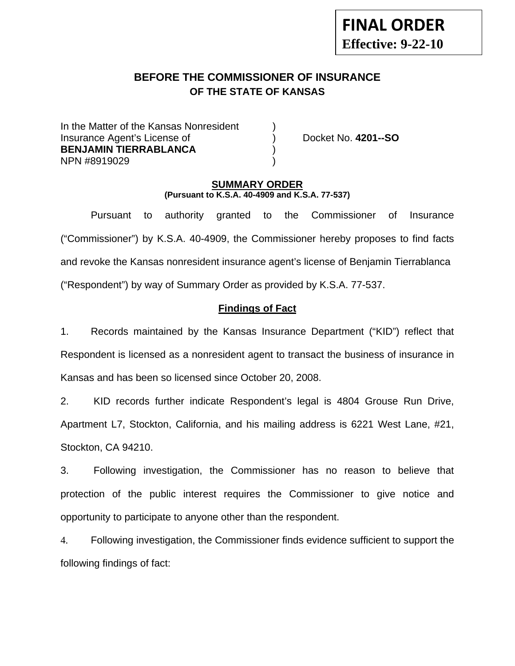# **FINAL ORDER Effective: 9-22-10**

# **BEFORE THE COMMISSIONER OF INSURANCE OF THE STATE OF KANSAS**

In the Matter of the Kansas Nonresident Insurance Agent's License of ) Docket No. **4201--SO BENJAMIN TIERRABLANCA** ) NPN #8919029 )

#### **SUMMARY ORDER (Pursuant to K.S.A. 40-4909 and K.S.A. 77-537)**

 Pursuant to authority granted to the Commissioner of Insurance ("Commissioner") by K.S.A. 40-4909, the Commissioner hereby proposes to find facts and revoke the Kansas nonresident insurance agent's license of Benjamin Tierrablanca ("Respondent") by way of Summary Order as provided by K.S.A. 77-537.

# **Findings of Fact**

1. Records maintained by the Kansas Insurance Department ("KID") reflect that Respondent is licensed as a nonresident agent to transact the business of insurance in Kansas and has been so licensed since October 20, 2008.

2. KID records further indicate Respondent's legal is 4804 Grouse Run Drive, Apartment L7, Stockton, California, and his mailing address is 6221 West Lane, #21, Stockton, CA 94210.

3. Following investigation, the Commissioner has no reason to believe that protection of the public interest requires the Commissioner to give notice and opportunity to participate to anyone other than the respondent.

4. Following investigation, the Commissioner finds evidence sufficient to support the following findings of fact: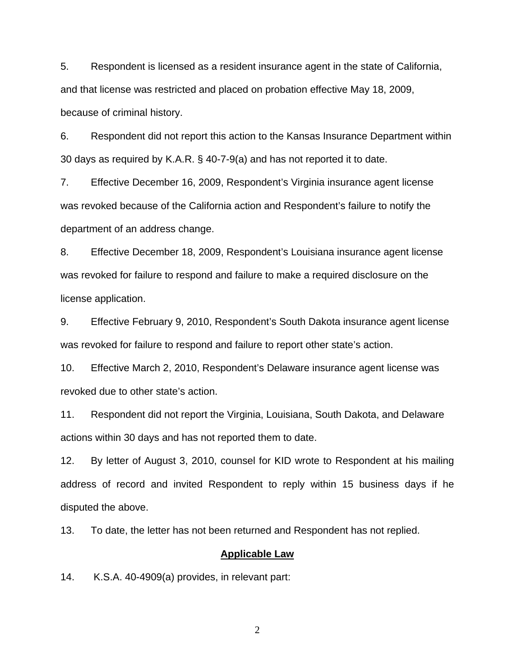5. Respondent is licensed as a resident insurance agent in the state of California, and that license was restricted and placed on probation effective May 18, 2009, because of criminal history.

6. Respondent did not report this action to the Kansas Insurance Department within 30 days as required by K.A.R. § 40-7-9(a) and has not reported it to date.

7. Effective December 16, 2009, Respondent's Virginia insurance agent license was revoked because of the California action and Respondent's failure to notify the department of an address change.

8. Effective December 18, 2009, Respondent's Louisiana insurance agent license was revoked for failure to respond and failure to make a required disclosure on the license application.

9. Effective February 9, 2010, Respondent's South Dakota insurance agent license was revoked for failure to respond and failure to report other state's action.

10. Effective March 2, 2010, Respondent's Delaware insurance agent license was revoked due to other state's action.

11. Respondent did not report the Virginia, Louisiana, South Dakota, and Delaware actions within 30 days and has not reported them to date.

12. By letter of August 3, 2010, counsel for KID wrote to Respondent at his mailing address of record and invited Respondent to reply within 15 business days if he disputed the above.

13. To date, the letter has not been returned and Respondent has not replied.

#### **Applicable Law**

14. K.S.A. 40-4909(a) provides, in relevant part:

2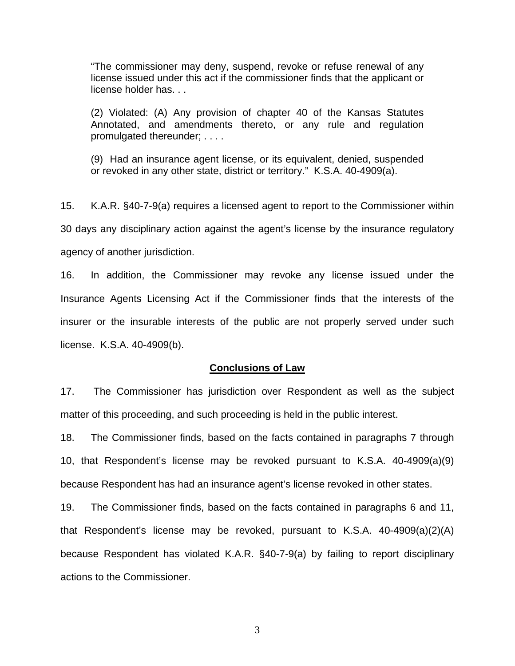"The commissioner may deny, suspend, revoke or refuse renewal of any license issued under this act if the commissioner finds that the applicant or license holder has. . .

(2) Violated: (A) Any provision of chapter 40 of the Kansas Statutes Annotated, and amendments thereto, or any rule and regulation promulgated thereunder; . . . .

(9) Had an insurance agent license, or its equivalent, denied, suspended or revoked in any other state, district or territory." K.S.A. 40-4909(a).

15. K.A.R. §40-7-9(a) requires a licensed agent to report to the Commissioner within 30 days any disciplinary action against the agent's license by the insurance regulatory agency of another jurisdiction.

16. In addition, the Commissioner may revoke any license issued under the Insurance Agents Licensing Act if the Commissioner finds that the interests of the insurer or the insurable interests of the public are not properly served under such license. K.S.A. 40-4909(b).

#### **Conclusions of Law**

17. The Commissioner has jurisdiction over Respondent as well as the subject matter of this proceeding, and such proceeding is held in the public interest.

18. The Commissioner finds, based on the facts contained in paragraphs 7 through 10, that Respondent's license may be revoked pursuant to K.S.A. 40-4909(a)(9) because Respondent has had an insurance agent's license revoked in other states.

19. The Commissioner finds, based on the facts contained in paragraphs 6 and 11, that Respondent's license may be revoked, pursuant to K.S.A. 40-4909(a)(2)(A) because Respondent has violated K.A.R. §40-7-9(a) by failing to report disciplinary actions to the Commissioner.

3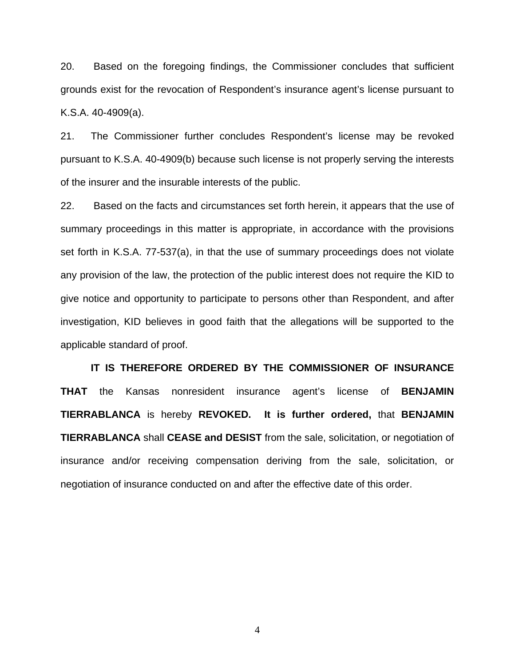20. Based on the foregoing findings, the Commissioner concludes that sufficient grounds exist for the revocation of Respondent's insurance agent's license pursuant to K.S.A. 40-4909(a).

21. The Commissioner further concludes Respondent's license may be revoked pursuant to K.S.A. 40-4909(b) because such license is not properly serving the interests of the insurer and the insurable interests of the public.

22. Based on the facts and circumstances set forth herein, it appears that the use of summary proceedings in this matter is appropriate, in accordance with the provisions set forth in K.S.A. 77-537(a), in that the use of summary proceedings does not violate any provision of the law, the protection of the public interest does not require the KID to give notice and opportunity to participate to persons other than Respondent, and after investigation, KID believes in good faith that the allegations will be supported to the applicable standard of proof.

 **IT IS THEREFORE ORDERED BY THE COMMISSIONER OF INSURANCE THAT** the Kansas nonresident insurance agent's license of **BENJAMIN TIERRABLANCA** is hereby **REVOKED. It is further ordered,** that **BENJAMIN TIERRABLANCA** shall **CEASE and DESIST** from the sale, solicitation, or negotiation of insurance and/or receiving compensation deriving from the sale, solicitation, or negotiation of insurance conducted on and after the effective date of this order.

4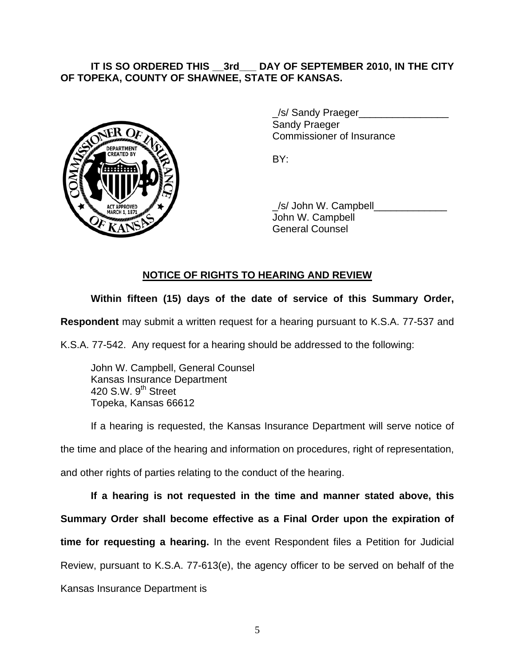## **IT IS SO ORDERED THIS \_\_3rd\_\_\_ DAY OF SEPTEMBER 2010, IN THE CITY OF TOPEKA, COUNTY OF SHAWNEE, STATE OF KANSAS.**



/s/ Sandy Praeger Sandy Praeger Commissioner of Insurance

 \_/s/ John W. Campbell\_\_\_\_\_\_\_\_\_\_\_\_\_ John W. Campbell General Counsel

# **NOTICE OF RIGHTS TO HEARING AND REVIEW**

# **Within fifteen (15) days of the date of service of this Summary Order,**

**Respondent** may submit a written request for a hearing pursuant to K.S.A. 77-537 and

K.S.A. 77-542. Any request for a hearing should be addressed to the following:

 John W. Campbell, General Counsel Kansas Insurance Department 420 S.W. 9<sup>th</sup> Street Topeka, Kansas 66612

If a hearing is requested, the Kansas Insurance Department will serve notice of the time and place of the hearing and information on procedures, right of representation, and other rights of parties relating to the conduct of the hearing.

**If a hearing is not requested in the time and manner stated above, this Summary Order shall become effective as a Final Order upon the expiration of time for requesting a hearing.** In the event Respondent files a Petition for Judicial Review, pursuant to K.S.A. 77-613(e), the agency officer to be served on behalf of the Kansas Insurance Department is